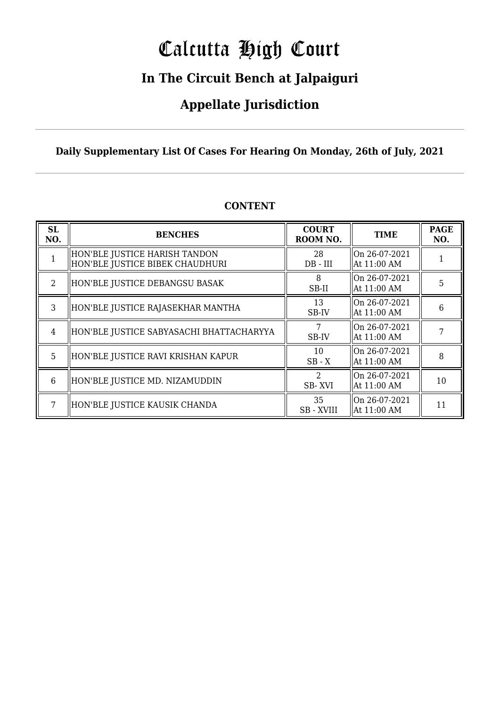# Calcutta High Court

### **In The Circuit Bench at Jalpaiguri**

### **Appellate Jurisdiction**

#### **Daily Supplementary List Of Cases For Hearing On Monday, 26th of July, 2021**

| SL<br>NO. | <b>BENCHES</b>                                                   | <b>COURT</b><br>ROOM NO. | <b>TIME</b>                     | <b>PAGE</b><br>NO. |
|-----------|------------------------------------------------------------------|--------------------------|---------------------------------|--------------------|
| 1         | HON'BLE JUSTICE HARISH TANDON<br>HON'BLE JUSTICE BIBEK CHAUDHURI | 28<br>$DB$ - $III$       | On 26-07-2021<br>At 11:00 AM    |                    |
| 2         | HON'BLE JUSTICE DEBANGSU BASAK                                   | 8<br>SB-II               | On 26-07-2021<br>At 11:00 AM    | 5                  |
| 3         | HON'BLE JUSTICE RAJASEKHAR MANTHA                                | 13<br>SB-IV              | On 26-07-2021<br>At 11:00 AM    | 6                  |
| 4         | HON'BLE JUSTICE SABYASACHI BHATTACHARYYA                         | SB-IV                    | On 26-07-2021<br>  At 11:00 AM  |                    |
| 5         | HON'BLE JUSTICE RAVI KRISHAN KAPUR                               | 10<br>$SB - X$           | On 26-07-2021<br>At 11:00 AM    | 8                  |
| 6         | HON'BLE JUSTICE MD. NIZAMUDDIN                                   | $\mathcal{D}$<br>SB-XVI  | lon 26-07-2021<br>  At 11:00 AM | 10                 |
|           | HON'BLE JUSTICE KAUSIK CHANDA                                    | 35<br><b>SB-XVIII</b>    | On 26-07-2021<br>  At 11:00 AM  | 11                 |

#### **CONTENT**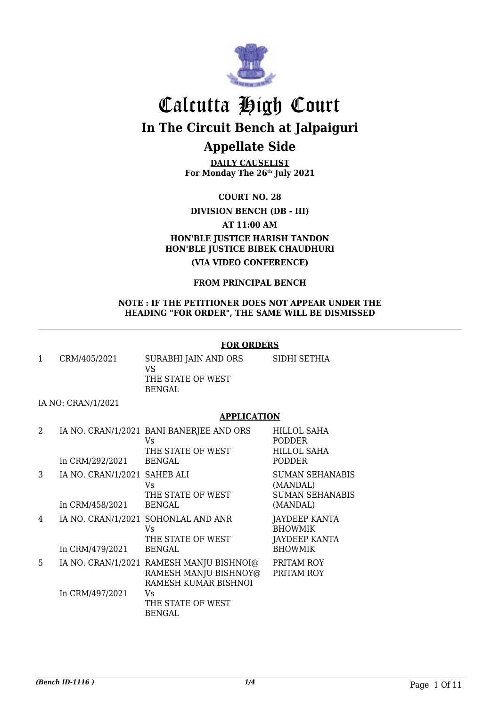

**DAILY CAUSELIST For Monday The 26th July 2021**

**COURT NO. 28**

#### **DIVISION BENCH (DB - III)**

**AT 11:00 AM**

### **HON'BLE JUSTICE HARISH TANDON HON'BLE JUSTICE BIBEK CHAUDHURI**

**(VIA VIDEO CONFERENCE)**

#### **FROM PRINCIPAL BENCH**

#### **NOTE : IF THE PETITIONER DOES NOT APPEAR UNDER THE HEADING "FOR ORDER", THE SAME WILL BE DISMISSED**

#### **FOR ORDERS**

| CRM/405/2021 | SURABHI JAIN AND ORS     | SIDHI SETHIA |
|--------------|--------------------------|--------------|
|              | VS.<br>THE STATE OF WEST |              |
|              | BENGAL                   |              |

#### IA NO: CRAN/1/2021

#### **APPLICATION**

| 2  | In CRM/292/2021                                 | IA NO. CRAN/1/2021 BANI BANERJEE AND ORS<br>Vs.<br>THE STATE OF WEST<br><b>BENGAL</b>     | <b>HILLOL SAHA</b><br><b>PODDER</b><br><b>HILLOL SAHA</b><br><b>PODDER</b> |
|----|-------------------------------------------------|-------------------------------------------------------------------------------------------|----------------------------------------------------------------------------|
| 3  | IA NO. CRAN/1/2021 SAHEB ALI<br>In CRM/458/2021 | Vs<br>THE STATE OF WEST<br><b>BENGAL</b>                                                  | <b>SUMAN SEHANABIS</b><br>(MANDAL)<br><b>SUMAN SEHANABIS</b><br>(MANDAL)   |
| 4  | In CRM/479/2021                                 | IA NO. CRAN/1/2021 SOHONLAL AND ANR<br>Vs.<br>THE STATE OF WEST<br><b>BENGAL</b>          | JAYDEEP KANTA<br><b>BHOWMIK</b><br>JAYDEEP KANTA<br><b>BHOWMIK</b>         |
| 5. |                                                 | IA NO. CRAN/1/2021 RAMESH MANJU BISHNOI@<br>RAMESH MANJU BISHNOY@<br>RAMESH KUMAR BISHNOI | PRITAM ROY<br>PRITAM ROY                                                   |
|    | In CRM/497/2021                                 | Vs<br>THE STATE OF WEST<br><b>BENGAL</b>                                                  |                                                                            |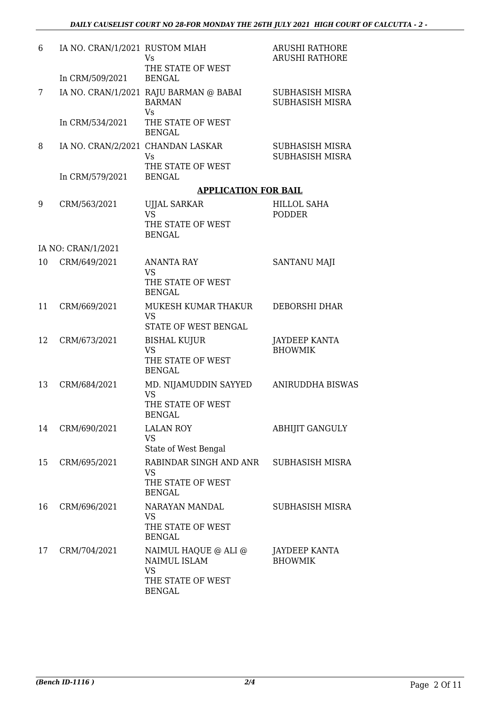| 6  | IA NO. CRAN/1/2021 RUSTOM MIAH<br>In CRM/509/2021    | <b>Vs</b><br>THE STATE OF WEST<br><b>BENGAL</b>                                         | <b>ARUSHI RATHORE</b><br><b>ARUSHI RATHORE</b> |
|----|------------------------------------------------------|-----------------------------------------------------------------------------------------|------------------------------------------------|
| 7  |                                                      | IA NO. CRAN/1/2021 RAJU BARMAN @ BABAI<br><b>BARMAN</b><br><b>Vs</b>                    | SUBHASISH MISRA<br><b>SUBHASISH MISRA</b>      |
|    | In CRM/534/2021                                      | THE STATE OF WEST<br><b>BENGAL</b>                                                      |                                                |
| 8  | IA NO. CRAN/2/2021 CHANDAN LASKAR<br>In CRM/579/2021 | Vs<br>THE STATE OF WEST<br><b>BENGAL</b>                                                | <b>SUBHASISH MISRA</b><br>SUBHASISH MISRA      |
|    |                                                      | <b>APPLICATION FOR BAIL</b>                                                             |                                                |
| 9  | CRM/563/2021                                         | <b>UJJAL SARKAR</b><br><b>VS</b><br>THE STATE OF WEST<br><b>BENGAL</b>                  | <b>HILLOL SAHA</b><br><b>PODDER</b>            |
|    | IA NO: CRAN/1/2021                                   |                                                                                         |                                                |
| 10 | CRM/649/2021                                         | <b>ANANTA RAY</b><br><b>VS</b><br>THE STATE OF WEST<br><b>BENGAL</b>                    | SANTANU MAJI                                   |
| 11 | CRM/669/2021                                         | MUKESH KUMAR THAKUR<br><b>VS</b><br>STATE OF WEST BENGAL                                | DEBORSHI DHAR                                  |
| 12 | CRM/673/2021                                         | <b>BISHAL KUJUR</b><br><b>VS</b><br>THE STATE OF WEST<br><b>BENGAL</b>                  | <b>JAYDEEP KANTA</b><br><b>BHOWMIK</b>         |
| 13 | CRM/684/2021                                         | MD. NIJAMUDDIN SAYYED<br><b>VS</b><br>THE STATE OF WEST<br>BENGAL                       | <b>ANIRUDDHA BISWAS</b>                        |
| 14 | CRM/690/2021                                         | <b>LALAN ROY</b><br><b>VS</b><br>State of West Bengal                                   | <b>ABHIJIT GANGULY</b>                         |
| 15 | CRM/695/2021                                         | RABINDAR SINGH AND ANR<br><b>VS</b><br>THE STATE OF WEST<br><b>BENGAL</b>               | SUBHASISH MISRA                                |
| 16 | CRM/696/2021                                         | NARAYAN MANDAL<br><b>VS</b><br>THE STATE OF WEST<br><b>BENGAL</b>                       | SUBHASISH MISRA                                |
| 17 | CRM/704/2021                                         | NAIMUL HAQUE @ ALI @<br>NAIMUL ISLAM<br><b>VS</b><br>THE STATE OF WEST<br><b>BENGAL</b> | JAYDEEP KANTA<br><b>BHOWMIK</b>                |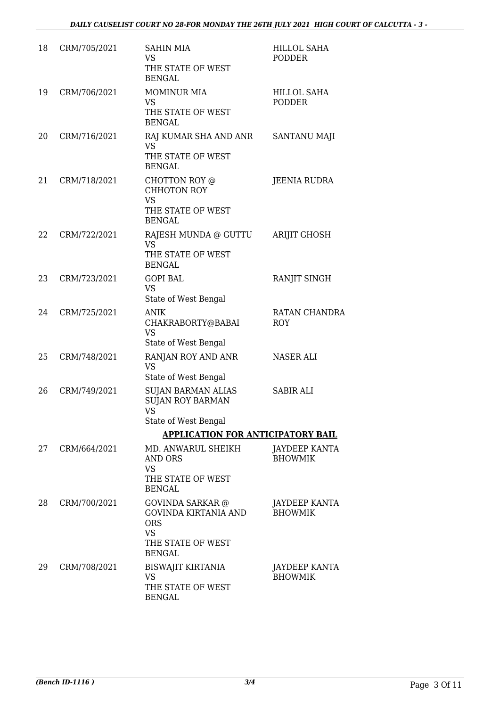| 18 | CRM/705/2021 | <b>SAHIN MIA</b><br><b>VS</b><br>THE STATE OF WEST<br><b>BENGAL</b>                                              | <b>HILLOL SAHA</b><br><b>PODDER</b> |
|----|--------------|------------------------------------------------------------------------------------------------------------------|-------------------------------------|
| 19 | CRM/706/2021 | <b>MOMINUR MIA</b><br>VS<br>THE STATE OF WEST<br><b>BENGAL</b>                                                   | <b>HILLOL SAHA</b><br><b>PODDER</b> |
| 20 | CRM/716/2021 | RAJ KUMAR SHA AND ANR<br><b>VS</b><br>THE STATE OF WEST<br><b>BENGAL</b>                                         | SANTANU MAJI                        |
| 21 | CRM/718/2021 | CHOTTON ROY @<br><b>CHHOTON ROY</b><br><b>VS</b><br>THE STATE OF WEST<br><b>BENGAL</b>                           | JEENIA RUDRA                        |
| 22 | CRM/722/2021 | RAJESH MUNDA @ GUTTU<br><b>VS</b><br>THE STATE OF WEST<br><b>BENGAL</b>                                          | <b>ARIJIT GHOSH</b>                 |
| 23 | CRM/723/2021 | <b>GOPI BAL</b><br><b>VS</b><br>State of West Bengal                                                             | RANJIT SINGH                        |
| 24 | CRM/725/2021 | <b>ANIK</b><br>CHAKRABORTY@BABAI<br><b>VS</b><br>State of West Bengal                                            | <b>RATAN CHANDRA</b><br><b>ROY</b>  |
| 25 | CRM/748/2021 | RANJAN ROY AND ANR<br><b>VS</b><br>State of West Bengal                                                          | <b>NASER ALI</b>                    |
| 26 | CRM/749/2021 | <b>SUJAN BARMAN ALIAS</b><br><b>SUJAN ROY BARMAN</b><br><b>VS</b><br>State of West Bengal                        | <b>SABIR ALI</b>                    |
|    |              | <b>APPLICATION FOR ANTICIPATORY BAIL</b>                                                                         |                                     |
| 27 | CRM/664/2021 | MD. ANWARUL SHEIKH<br>AND ORS<br><b>VS</b><br>THE STATE OF WEST<br><b>BENGAL</b>                                 | JAYDEEP KANTA<br><b>BHOWMIK</b>     |
| 28 | CRM/700/2021 | <b>GOVINDA SARKAR</b> @<br>GOVINDA KIRTANIA AND<br><b>ORS</b><br><b>VS</b><br>THE STATE OF WEST<br><b>BENGAL</b> | JAYDEEP KANTA<br><b>BHOWMIK</b>     |
| 29 | CRM/708/2021 | <b>BISWAJIT KIRTANIA</b><br><b>VS</b><br>THE STATE OF WEST<br><b>BENGAL</b>                                      | JAYDEEP KANTA<br><b>BHOWMIK</b>     |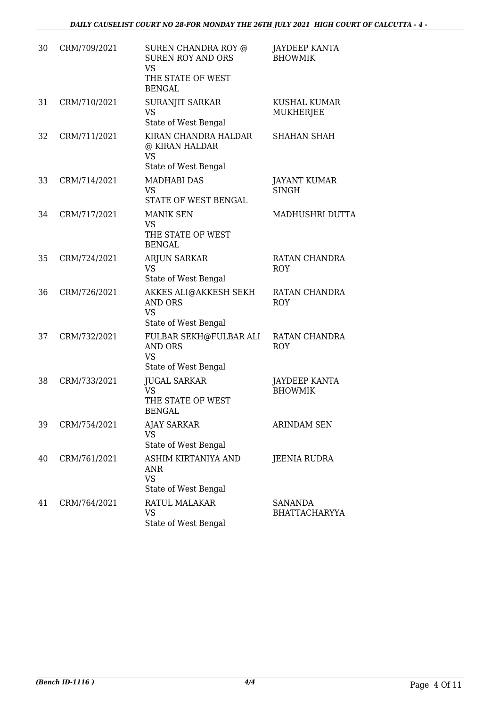| 30 | CRM/709/2021 | SUREN CHANDRA ROY @<br><b>SUREN ROY AND ORS</b><br><b>VS</b><br>THE STATE OF WEST<br><b>BENGAL</b> | JAYDEEP KANTA<br><b>BHOWMIK</b>        |
|----|--------------|----------------------------------------------------------------------------------------------------|----------------------------------------|
| 31 | CRM/710/2021 | SURANJIT SARKAR<br><b>VS</b><br>State of West Bengal                                               | <b>KUSHAL KUMAR</b><br>MUKHERJEE       |
| 32 | CRM/711/2021 | KIRAN CHANDRA HALDAR<br>@ KIRAN HALDAR<br><b>VS</b><br>State of West Bengal                        | <b>SHAHAN SHAH</b>                     |
| 33 | CRM/714/2021 | <b>MADHABI DAS</b><br><b>VS</b><br>STATE OF WEST BENGAL                                            | <b>JAYANT KUMAR</b><br><b>SINGH</b>    |
| 34 | CRM/717/2021 | <b>MANIK SEN</b><br><b>VS</b><br>THE STATE OF WEST<br><b>BENGAL</b>                                | MADHUSHRI DUTTA                        |
| 35 | CRM/724/2021 | ARJUN SARKAR<br><b>VS</b><br>State of West Bengal                                                  | RATAN CHANDRA<br><b>ROY</b>            |
| 36 | CRM/726/2021 | AKKES ALI@AKKESH SEKH<br><b>AND ORS</b><br><b>VS</b><br>State of West Bengal                       | RATAN CHANDRA<br><b>ROY</b>            |
| 37 | CRM/732/2021 | FULBAR SEKH@FULBAR ALI<br><b>AND ORS</b><br><b>VS</b><br>State of West Bengal                      | RATAN CHANDRA<br><b>ROY</b>            |
| 38 | CRM/733/2021 | <b>JUGAL SARKAR</b><br><b>VS</b><br>THE STATE OF WEST<br><b>BENGAL</b>                             | <b>JAYDEEP KANTA</b><br><b>BHOWMIK</b> |
| 39 | CRM/754/2021 | AJAY SARKAR<br><b>VS</b><br>State of West Bengal                                                   | <b>ARINDAM SEN</b>                     |
| 40 | CRM/761/2021 | ASHIM KIRTANIYA AND<br><b>ANR</b><br><b>VS</b><br>State of West Bengal                             | <b>JEENIA RUDRA</b>                    |
| 41 | CRM/764/2021 | <b>RATUL MALAKAR</b><br><b>VS</b><br>State of West Bengal                                          | <b>SANANDA</b><br><b>BHATTACHARYYA</b> |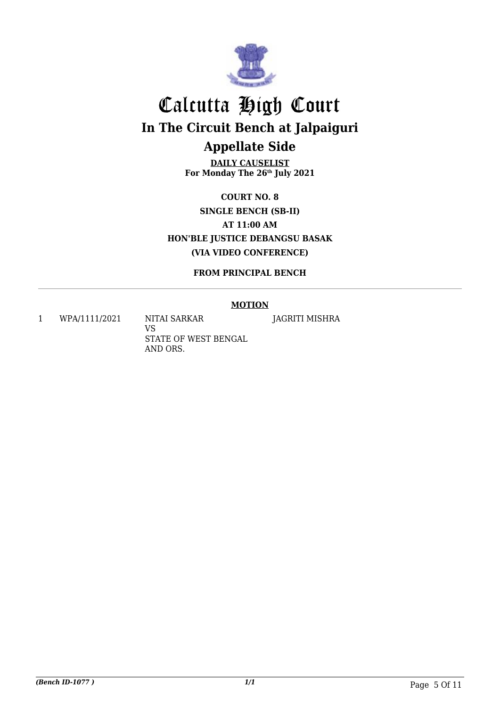

**DAILY CAUSELIST For Monday The 26th July 2021**

**COURT NO. 8 SINGLE BENCH (SB-II) AT 11:00 AM HON'BLE JUSTICE DEBANGSU BASAK (VIA VIDEO CONFERENCE)**

**FROM PRINCIPAL BENCH**

#### **MOTION**

1 WPA/1111/2021 NITAI SARKAR

VS STATE OF WEST BENGAL AND ORS.

JAGRITI MISHRA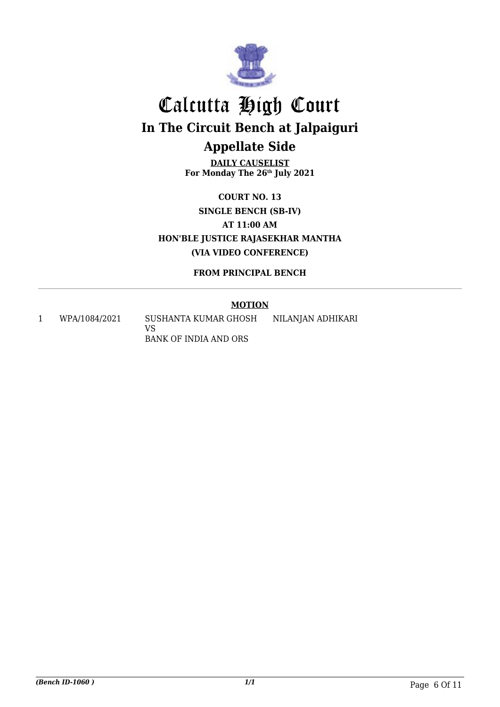

**DAILY CAUSELIST For Monday The 26th July 2021**

**COURT NO. 13 SINGLE BENCH (SB-IV) AT 11:00 AM HON'BLE JUSTICE RAJASEKHAR MANTHA (VIA VIDEO CONFERENCE)**

**FROM PRINCIPAL BENCH**

#### **MOTION**

1 WPA/1084/2021 SUSHANTA KUMAR GHOSH VS BANK OF INDIA AND ORS NILANJAN ADHIKARI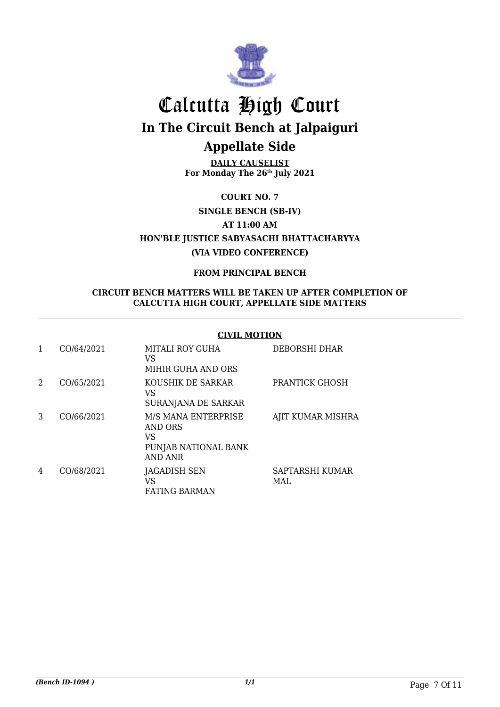

**DAILY CAUSELIST For Monday The 26th July 2021**

**COURT NO. 7**

**SINGLE BENCH (SB-IV)**

**AT 11:00 AM**

**HON'BLE JUSTICE SABYASACHI BHATTACHARYYA (VIA VIDEO CONFERENCE)**

#### **FROM PRINCIPAL BENCH**

#### **CIRCUIT BENCH MATTERS WILL BE TAKEN UP AFTER COMPLETION OF CALCUTTA HIGH COURT, APPELLATE SIDE MATTERS**

#### **CIVIL MOTION**

|   | CO/64/2021 | MITALI ROY GUHA<br>VS<br>MIHIR GUHA AND ORS                                           | DEBORSHI DHAR           |
|---|------------|---------------------------------------------------------------------------------------|-------------------------|
| 2 | CO/65/2021 | KOUSHIK DE SARKAR<br>VS<br>SURANJANA DE SARKAR                                        | PRANTICK GHOSH          |
| 3 | CO/66/2021 | M/S MANA ENTERPRISE<br><b>AND ORS</b><br>VS<br>PUNJAB NATIONAL BANK<br><b>AND ANR</b> | AJIT KUMAR MISHRA       |
| 4 | CO/68/2021 | <b>JAGADISH SEN</b><br>VS<br><b>FATING BARMAN</b>                                     | SAPTARSHI KUMAR<br>MAI. |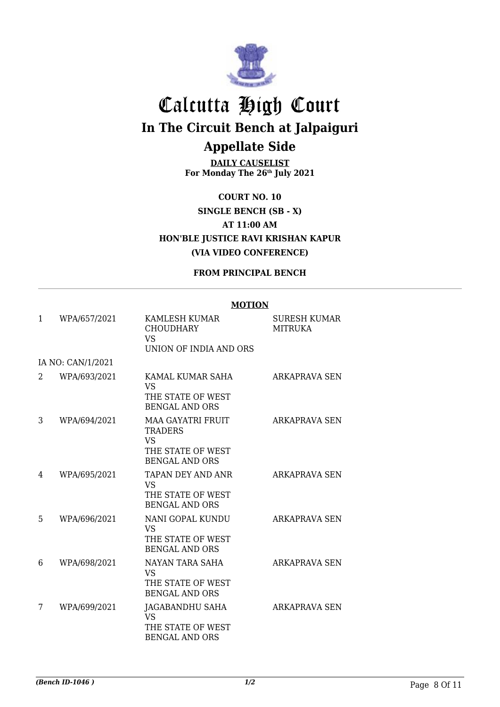

**DAILY CAUSELIST For Monday The 26th July 2021**

**COURT NO. 10 SINGLE BENCH (SB - X) AT 11:00 AM HON'BLE JUSTICE RAVI KRISHAN KAPUR (VIA VIDEO CONFERENCE)**

#### **FROM PRINCIPAL BENCH**

#### **MOTION**

| 1 | WPA/657/2021      | KAMLESH KUMAR<br><b>CHOUDHARY</b><br>VS<br>UNION OF INDIA AND ORS                                     | <b>SURESH KUMAR</b><br><b>MITRUKA</b> |
|---|-------------------|-------------------------------------------------------------------------------------------------------|---------------------------------------|
|   | IA NO: CAN/1/2021 |                                                                                                       |                                       |
| 2 | WPA/693/2021      | KAMAL KUMAR SAHA<br><b>VS</b><br>THE STATE OF WEST<br><b>BENGAL AND ORS</b>                           | <b>ARKAPRAVA SEN</b>                  |
| 3 | WPA/694/2021      | <b>MAA GAYATRI FRUIT</b><br><b>TRADERS</b><br><b>VS</b><br>THE STATE OF WEST<br><b>BENGAL AND ORS</b> | <b>ARKAPRAVA SEN</b>                  |
| 4 | WPA/695/2021      | TAPAN DEY AND ANR<br><b>VS</b><br>THE STATE OF WEST<br><b>BENGAL AND ORS</b>                          | <b>ARKAPRAVA SEN</b>                  |
| 5 | WPA/696/2021      | NANI GOPAL KUNDU<br><b>VS</b><br>THE STATE OF WEST<br><b>BENGAL AND ORS</b>                           | ARKAPRAVA SEN                         |
| 6 | WPA/698/2021      | NAYAN TARA SAHA<br><b>VS</b><br>THE STATE OF WEST<br><b>BENGAL AND ORS</b>                            | <b>ARKAPRAVA SEN</b>                  |
| 7 | WPA/699/2021      | JAGABANDHU SAHA<br><b>VS</b><br>THE STATE OF WEST<br><b>BENGAL AND ORS</b>                            | ARKAPRAVA SEN                         |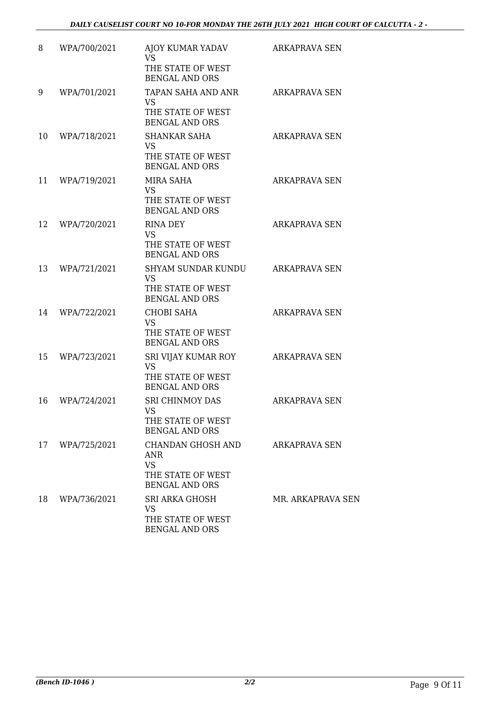| 8  | WPA/700/2021 | AJOY KUMAR YADAV<br><b>VS</b><br>THE STATE OF WEST<br><b>BENGAL AND ORS</b>                               | ARKAPRAVA SEN        |
|----|--------------|-----------------------------------------------------------------------------------------------------------|----------------------|
| 9  | WPA/701/2021 | TAPAN SAHA AND ANR<br><b>VS</b><br>THE STATE OF WEST<br><b>BENGAL AND ORS</b>                             | <b>ARKAPRAVA SEN</b> |
| 10 | WPA/718/2021 | SHANKAR SAHA<br><b>VS</b><br>THE STATE OF WEST<br><b>BENGAL AND ORS</b>                                   | <b>ARKAPRAVA SEN</b> |
| 11 | WPA/719/2021 | MIRA SAHA<br><b>VS</b><br>THE STATE OF WEST<br><b>BENGAL AND ORS</b>                                      | <b>ARKAPRAVA SEN</b> |
| 12 | WPA/720/2021 | <b>RINA DEY</b><br><b>VS</b><br>THE STATE OF WEST<br><b>BENGAL AND ORS</b>                                | <b>ARKAPRAVA SEN</b> |
| 13 | WPA/721/2021 | SHYAM SUNDAR KUNDU<br><b>VS</b><br>THE STATE OF WEST<br><b>BENGAL AND ORS</b>                             | <b>ARKAPRAVA SEN</b> |
| 14 | WPA/722/2021 | <b>CHOBI SAHA</b><br><b>VS</b><br>THE STATE OF WEST<br><b>BENGAL AND ORS</b>                              | <b>ARKAPRAVA SEN</b> |
| 15 | WPA/723/2021 | SRI VIJAY KUMAR ROY<br><b>VS</b><br>THE STATE OF WEST<br><b>BENGAL AND ORS</b>                            | <b>ARKAPRAVA SEN</b> |
| 16 | WPA/724/2021 | <b>SRI CHINMOY DAS</b><br><b>VS</b><br>THE STATE OF WEST<br><b>BENGAL AND ORS</b>                         | <b>ARKAPRAVA SEN</b> |
| 17 | WPA/725/2021 | CHANDAN GHOSH AND<br>ANR<br><b>VS</b><br>THE STATE OF WEST                                                | ARKAPRAVA SEN        |
| 18 | WPA/736/2021 | <b>BENGAL AND ORS</b><br><b>SRI ARKA GHOSH</b><br><b>VS</b><br>THE STATE OF WEST<br><b>BENGAL AND ORS</b> | MR. ARKAPRAVA SEN    |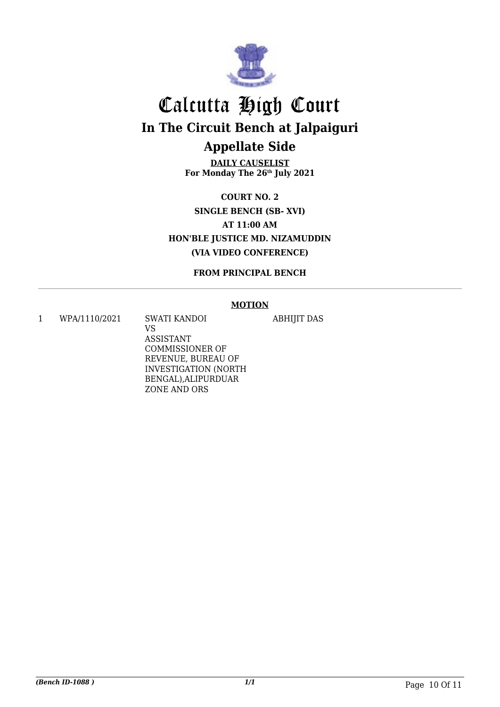

**DAILY CAUSELIST For Monday The 26th July 2021**

**COURT NO. 2 SINGLE BENCH (SB- XVI) AT 11:00 AM HON'BLE JUSTICE MD. NIZAMUDDIN (VIA VIDEO CONFERENCE)**

**FROM PRINCIPAL BENCH**

#### **MOTION**

ABHIJIT DAS

1 WPA/1110/2021 SWATI KANDOI

VS ASSISTANT COMMISSIONER OF REVENUE, BUREAU OF INVESTIGATION (NORTH BENGAL),ALIPURDUAR ZONE AND ORS